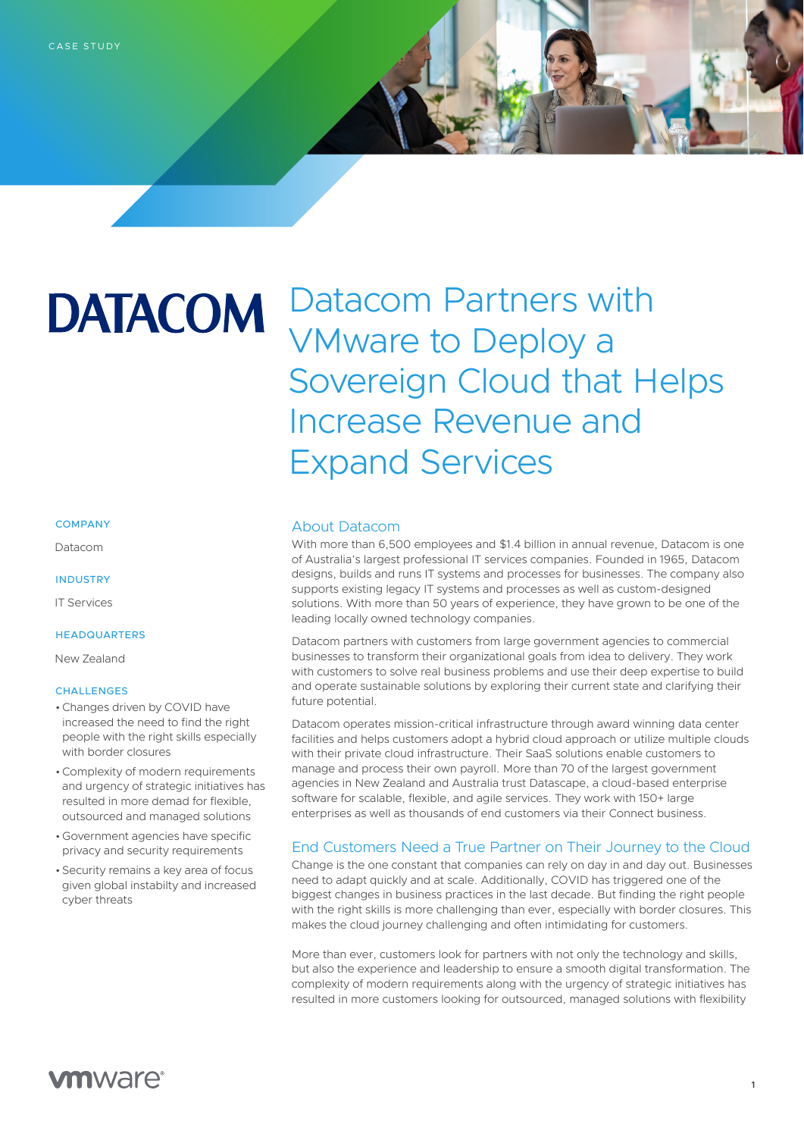# **DATACOM**

# Datacom Partners with VMware to Deploy a Sovereign Cloud that Helps Increase Revenue and Expand Services

#### **COMPANY**

Datacom

#### **INDUSTRY**

IT Services

#### HEADQUARTERS

New Zealand

#### **CHALLENGES**

- •Changes driven by COVID have increased the need to find the right people with the right skills especially with border closures
- •Complexity of modern requirements and urgency of strategic initiatives has resulted in more demad for flexible, outsourced and managed solutions
- Government agencies have specific privacy and security requirements
- Security remains a key area of focus given global instabilty and increased cyber threats

#### About Datacom

With more than 6,500 employees and \$1.4 billion in annual revenue, Datacom is one of Australia's largest professional IT services companies. Founded in 1965, Datacom designs, builds and runs IT systems and processes for businesses. The company also supports existing legacy IT systems and processes as well as custom-designed solutions. With more than 50 years of experience, they have grown to be one of the leading locally owned technology companies.

Datacom partners with customers from large government agencies to commercial businesses to transform their organizational goals from idea to delivery. They work with customers to solve real business problems and use their deep expertise to build and operate sustainable solutions by exploring their current state and clarifying their future potential.

Datacom operates mission-critical infrastructure through award winning data center facilities and helps customers adopt a hybrid cloud approach or utilize multiple clouds with their private cloud infrastructure. Their SaaS solutions enable customers to manage and process their own payroll. More than 70 of the largest government agencies in New Zealand and Australia trust Datascape, a cloud-based enterprise software for scalable, flexible, and agile services. They work with 150+ large enterprises as well as thousands of end customers via their Connect business.

## End Customers Need a True Partner on Their Journey to the Cloud

Change is the one constant that companies can rely on day in and day out. Businesses need to adapt quickly and at scale. Additionally, COVID has triggered one of the biggest changes in business practices in the last decade. But finding the right people with the right skills is more challenging than ever, especially with border closures. This makes the cloud journey challenging and often intimidating for customers.

More than ever, customers look for partners with not only the technology and skills, but also the experience and leadership to ensure a smooth digital transformation. The complexity of modern requirements along with the urgency of strategic initiatives has resulted in more customers looking for outsourced, managed solutions with flexibility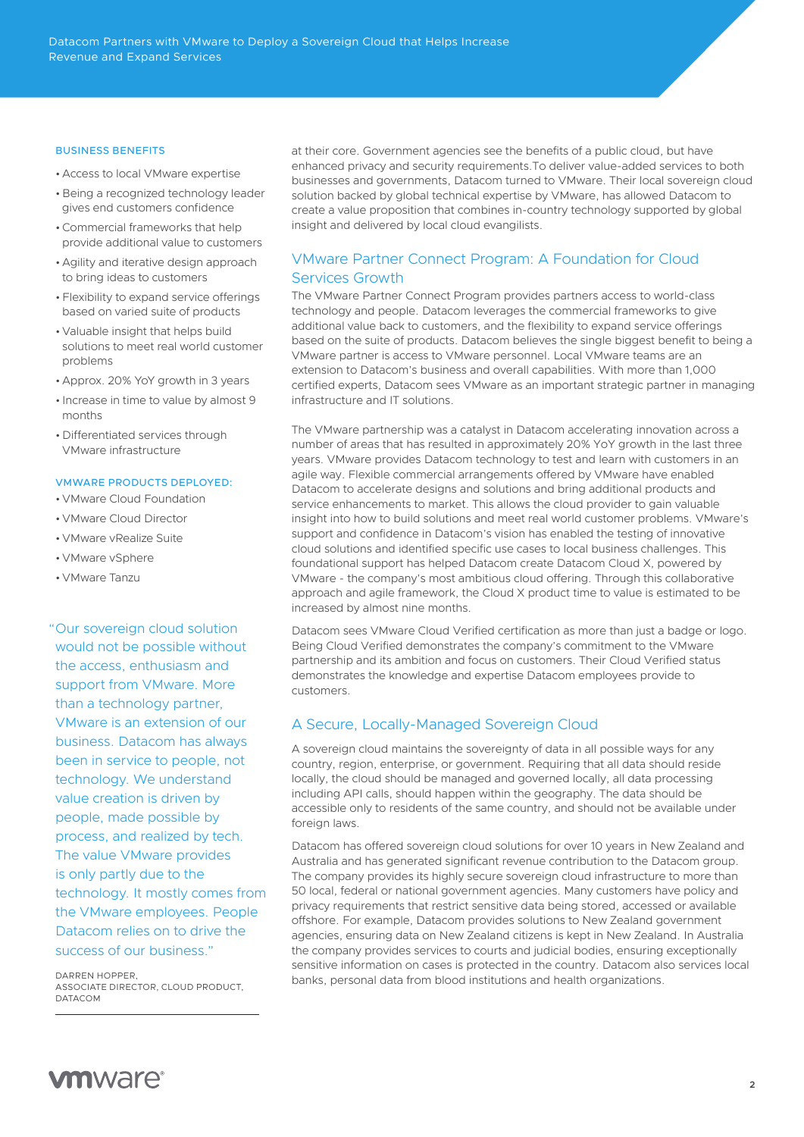#### BUSINESS BENEFITS

- Access to local VMware expertise
- Being a recognized technology leader gives end customers confidence
- •Commercial frameworks that help provide additional value to customers
- Agility and iterative design approach to bring ideas to customers
- Flexibility to expand service offerings based on varied suite of products
- Valuable insight that helps build solutions to meet real world customer problems
- Approx. 20% YoY growth in 3 years
- Increase in time to value by almost 9 months
- Differentiated services through VMware infrastructure

#### VMWARE PRODUCTS DEPLOYED:

- VMware Cloud Foundation
- VMware Cloud Director
- VMware vRealize Suite
- VMware vSphere
- VMware Tanzu

"Our sovereign cloud solution would not be possible without the access, enthusiasm and support from VMware. More than a technology partner, VMware is an extension of our business. Datacom has always been in service to people, not technology. We understand value creation is driven by people, made possible by process, and realized by tech. The value VMware provides is only partly due to the technology. It mostly comes from the VMware employees. People Datacom relies on to drive the success of our business."

DARREN HOPPER, ASSOCIATE DIRECTOR, CLOUD PRODUCT, DATACOM

at their core. Government agencies see the benefits of a public cloud, but have enhanced privacy and security requirements.To deliver value-added services to both businesses and governments, Datacom turned to VMware. Their local sovereign cloud solution backed by global technical expertise by VMware, has allowed Datacom to create a value proposition that combines in-country technology supported by global insight and delivered by local cloud evangilists.

# VMware Partner Connect Program: A Foundation for Cloud Services Growth

The VMware Partner Connect Program provides partners access to world-class technology and people. Datacom leverages the commercial frameworks to give additional value back to customers, and the flexibility to expand service offerings based on the suite of products. Datacom believes the single biggest benefit to being a VMware partner is access to VMware personnel. Local VMware teams are an extension to Datacom's business and overall capabilities. With more than 1,000 certified experts, Datacom sees VMware as an important strategic partner in managing infrastructure and IT solutions.

The VMware partnership was a catalyst in Datacom accelerating innovation across a number of areas that has resulted in approximately 20% YoY growth in the last three years. VMware provides Datacom technology to test and learn with customers in an agile way. Flexible commercial arrangements offered by VMware have enabled Datacom to accelerate designs and solutions and bring additional products and service enhancements to market. This allows the cloud provider to gain valuable insight into how to build solutions and meet real world customer problems. VMware's support and confidence in Datacom's vision has enabled the testing of innovative cloud solutions and identified specific use cases to local business challenges. This foundational support has helped Datacom create Datacom Cloud X, powered by VMware - the company's most ambitious cloud offering. Through this collaborative approach and agile framework, the Cloud X product time to value is estimated to be increased by almost nine months.

Datacom sees VMware Cloud Verified certification as more than just a badge or logo. Being Cloud Verified demonstrates the company's commitment to the VMware partnership and its ambition and focus on customers. Their Cloud Verified status demonstrates the knowledge and expertise Datacom employees provide to customers.

### A Secure, Locally-Managed Sovereign Cloud

A sovereign cloud maintains the sovereignty of data in all possible ways for any country, region, enterprise, or government. Requiring that all data should reside locally, the cloud should be managed and governed locally, all data processing including API calls, should happen within the geography. The data should be accessible only to residents of the same country, and should not be available under foreign laws.

Datacom has offered sovereign cloud solutions for over 10 years in New Zealand and Australia and has generated significant revenue contribution to the Datacom group. The company provides its highly secure sovereign cloud infrastructure to more than 50 local, federal or national government agencies. Many customers have policy and privacy requirements that restrict sensitive data being stored, accessed or available offshore. For example, Datacom provides solutions to New Zealand government agencies, ensuring data on New Zealand citizens is kept in New Zealand. In Australia the company provides services to courts and judicial bodies, ensuring exceptionally sensitive information on cases is protected in the country. Datacom also services local banks, personal data from blood institutions and health organizations.